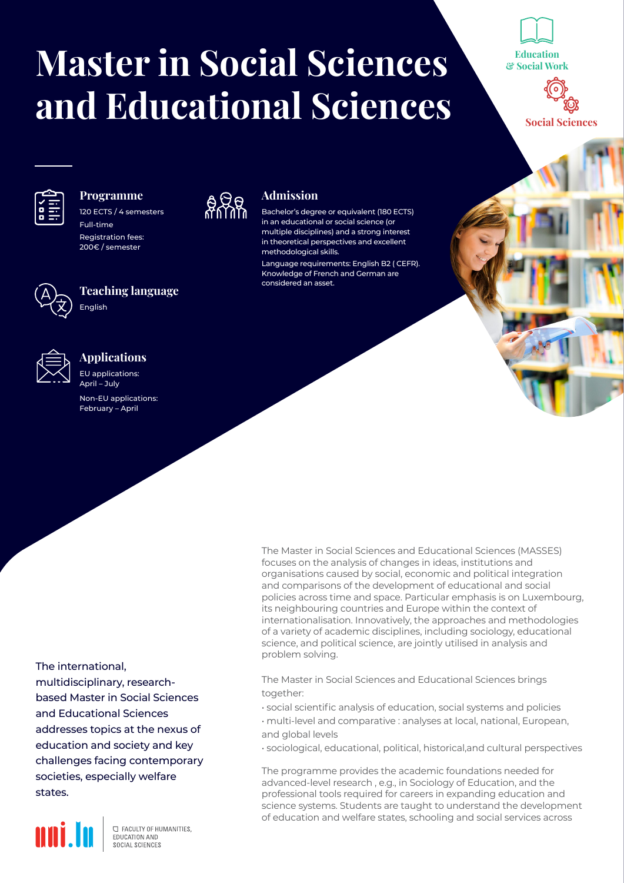# **Master in Social Sciences and Educational Sciences**

a Ra

**Admission**

methodological skills.

considered an asset.

Bachelor's degree or equivalent (180 ECTS) in an educational or social science (or multiple disciplines) and a strong interest in theoretical perspectives and excellent

Language requirements: English B2 ( CEFR). Knowledge of French and German are

Education & Social Work



Social Sciences



### **Programme**

120 ECTS / 4 semesters Full-time Registration fees: 200€ / semester



## **Teaching language**



### **Applications**

English

EU applications: April – July Non-EU applications: February – April

> The Master in Social Sciences and Educational Sciences (MASSES) focuses on the analysis of changes in ideas, institutions and organisations caused by social, economic and political integration and comparisons of the development of educational and social policies across time and space. Particular emphasis is on Luxembourg, its neighbouring countries and Europe within the context of internationalisation. Innovatively, the approaches and methodologies of a variety of academic disciplines, including sociology, educational science, and political science, are jointly utilised in analysis and problem solving.

The Master in Social Sciences and Educational Sciences brings together:

- social scientific analysis of education, social systems and policies
- multi-level and comparative : analyses at local, national, European, and global levels
- sociological, educational, political, historical,and cultural perspectives

The programme provides the academic foundations needed for advanced-level research , e.g., in Sociology of Education, and the professional tools required for careers in expanding education and science systems. Students are taught to understand the development of education and welfare states, schooling and social services across



multidisciplinary, researchbased Master in Social Sciences and Educational Sciences addresses topics at the nexus of education and society and key challenges facing contemporary societies, especially welfare states.



**C FACULTY OF HUMANITIES.** EDUCATION AND SOCIAL SCIENCES